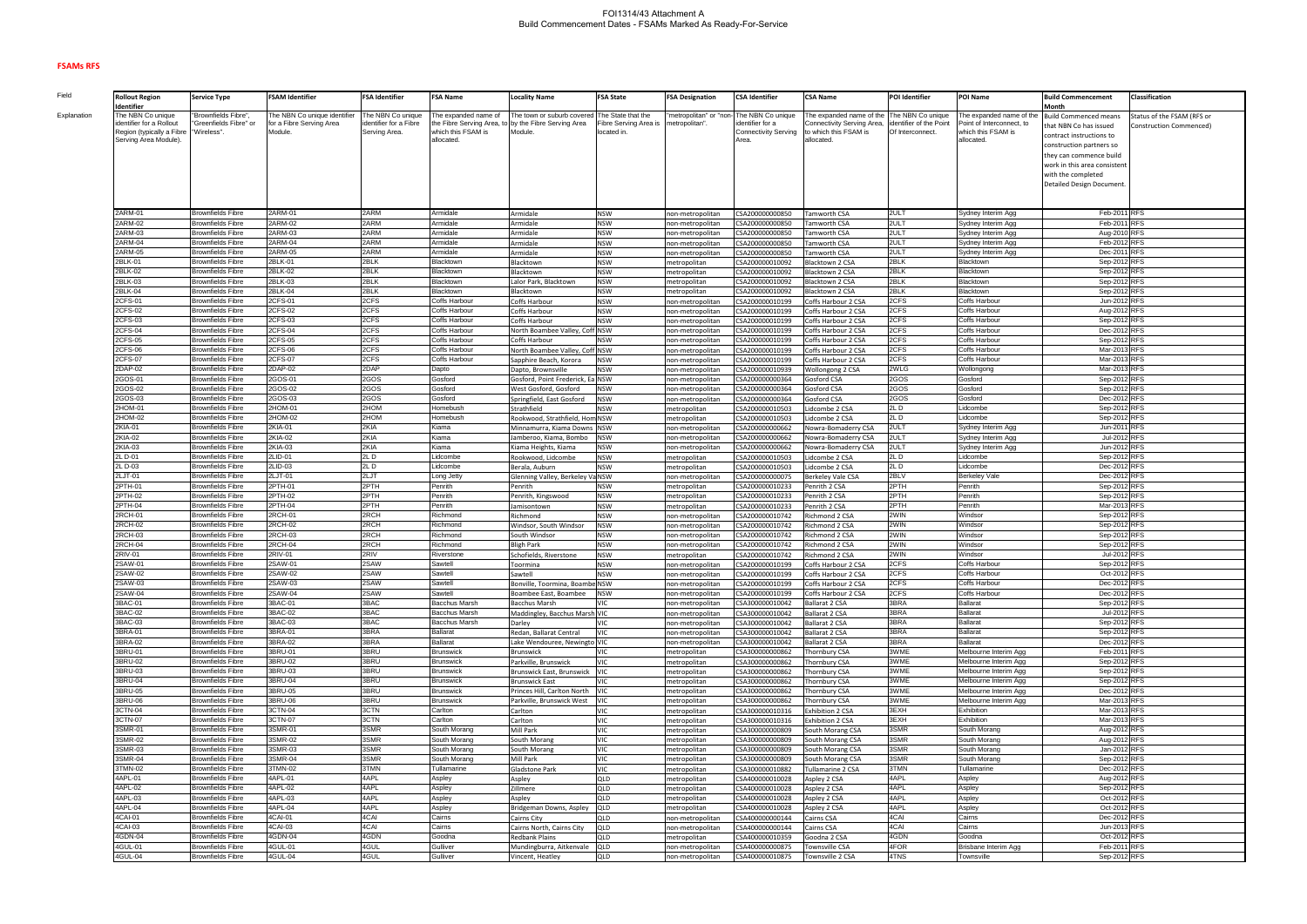## **FSAMs RFS**

**Field Explanation** 

| <b>Rollout Region</b><br>Identifier                | <b>Service Type</b>                                  | <b>FSAM Identifier</b>       | <b>FSA Identifier</b>  | <b>FSA Name</b>                      | <b>Locality Name</b>                                      | <b>FSA State</b>         | <b>FSA Designation</b>               | <b>CSA Identifier</b>              | <b>CSA Name</b>                                   | POI Identifier          | POI Name                                       | <b>Build Commencement</b><br>Month | Classification             |
|----------------------------------------------------|------------------------------------------------------|------------------------------|------------------------|--------------------------------------|-----------------------------------------------------------|--------------------------|--------------------------------------|------------------------------------|---------------------------------------------------|-------------------------|------------------------------------------------|------------------------------------|----------------------------|
| The NBN Co unique                                  | 'Brownfields Fibre"                                  | The NBN Co unique identifier | The NBN Co unique      | The expanded name of                 | The town or suburb covere                                 | The State that the       | metropolitan" or "non                | The NBN Co unique                  | The expanded name of the                          | The NBN Co unique       | The expanded name of the                       | <b>Build Commenced means</b>       | Status of the FSAM (RFS or |
| identifier for a Rollout                           | Greenfields Fibre" or                                | for a Fibre Serving Area     | identifier for a Fibre | the Fibre Serving Area, t            | by the Fibre Serving Area                                 | Fibre Serving Area is    | netropolitan".                       | dentifier for a                    | Connectivity Serving Area,                        | identifier of the Point | Point of Interconnect, to                      | that NBN Co has issued             | Construction Commenced)    |
| Region (typically a Fibre<br>Serving Area Module). | "Wireless".                                          | Module.                      | Serving Area.          | which this FSAM is<br>allocated.     | Module.                                                   | located in.              |                                      | Connectivity Serving<br>Area.      | to which this FSAM is<br>illocated.               | Of Interconnect.        | which this FSAM is<br>allocated.               | contract instructions to           |                            |
|                                                    |                                                      |                              |                        |                                      |                                                           |                          |                                      |                                    |                                                   |                         |                                                | construction partners so           |                            |
|                                                    |                                                      |                              |                        |                                      |                                                           |                          |                                      |                                    |                                                   |                         |                                                | they can commence build            |                            |
|                                                    |                                                      |                              |                        |                                      |                                                           |                          |                                      |                                    |                                                   |                         |                                                | work in this area consistent       |                            |
|                                                    |                                                      |                              |                        |                                      |                                                           |                          |                                      |                                    |                                                   |                         |                                                | with the completed                 |                            |
|                                                    |                                                      |                              |                        |                                      |                                                           |                          |                                      |                                    |                                                   |                         |                                                | Detailed Design Document           |                            |
|                                                    |                                                      |                              |                        |                                      |                                                           |                          |                                      |                                    |                                                   |                         |                                                |                                    |                            |
| 2ARM-01                                            | <b>Brownfields Fibre</b>                             | 2ARM-01                      | 2ARM                   | Armidale                             | Armidale                                                  | <b>NSW</b>               | non-metropolitan                     | CSA200000000850                    | amworth CSA                                       | 2ULT                    | Sydney Interim Agg                             | Feb-2011 RFS                       |                            |
| 2ARM-02                                            | <b>Brownfields Fibre</b>                             | 2ARM-02                      | 2ARM                   | Armidale                             | Armidale                                                  | <b>NSW</b>               | non-metropolitan                     | CSA200000000850                    | amworth CSA                                       | 2ULT                    | Sydney Interim Agg                             | Feb-2011 RFS                       |                            |
| 2ARM-03                                            | Brownfields Fibre                                    | 2ARM-03                      | 2ARM                   | Armidale                             | Armidale                                                  | <b>NSW</b>               | non-metropolitan                     | CSA200000000850                    | Tamworth CSA                                      | 2ULT                    | Sydney Interim Agg                             | Aug-2010 RFS                       |                            |
| 2ARM-04<br>2ARM-05                                 | <b>Brownfields Fibre</b>                             | 2ARM-04<br>2ARM-05           | 2ARM<br>2ARM           | Armidale                             | Armidale                                                  | <b>NSW</b>               | non-metropolitan                     | CSA200000000850                    | <b>Tamworth CSA</b>                               | 2ULT                    | Sydney Interim Agg                             | Feb-2012 RFS                       |                            |
| 2BLK-01                                            | Brownfields Fibre<br>Brownfields Fibre               | 2BLK-01                      | 2BLK                   | Armidale<br>Blacktown                | Armidale<br>Blacktown                                     | <b>NSW</b><br><b>NSW</b> | non-metropolitan<br>metropolitan     | CSA200000000850<br>CSA200000010092 | amworth CSA<br><b>Iacktown 2 CSA</b>              | 2ULT<br>2BLK            | Sydney Interim Agg<br>Blacktown                | Dec-2011 RFS<br>Sep-2012 RFS       |                            |
| 2BLK-02                                            | Brownfields Fibre                                    | 2BLK-02                      | 2BLK                   | Blacktown                            | Blacktown                                                 | NSW                      | metropolitan                         | CSA200000010092                    | Blacktown 2 CSA                                   | 2BLK                    | Blacktown                                      | Sep-2012 RFS                       |                            |
| 2BLK-03                                            | Brownfields Fibre                                    | 2BLK-03                      | 2BLK                   | Blacktown                            | Lalor Park, Blacktown                                     | <b>NSW</b>               | metropolitan                         | CSA200000010092                    | Blacktown 2 CSA                                   | 2BLK                    | Blacktown                                      | Sep-2012 RFS                       |                            |
| 2BLK-04                                            | Brownfields Fibre                                    | 2BLK-04                      | 2BLK                   | Blacktown                            | Blacktown                                                 | <b>NSW</b>               | netropolitan                         | CSA200000010092                    | <b>Iacktown 2 CSA</b>                             | 2BLK                    | Blacktown                                      | Sep-2012 RFS                       |                            |
| 2CFS-01                                            | Brownfields Fibre                                    | 2CFS-01                      | 2CFS                   | Coffs Harbour                        | Coffs Harbour                                             | <b>NSW</b>               | non-metropolitar                     | CSA200000010199                    | Coffs Harbour 2 CSA                               | 2CFS                    | Coffs Harbour                                  | Jun-2012 RFS                       |                            |
| 2CFS-02                                            | <b>Brownfields Fibre</b>                             | 2CFS-02                      | 2CFS                   | Coffs Harbour                        | Coffs Harbour                                             | <b>NSW</b>               | non-metropolitan                     | CSA200000010199                    | Coffs Harbour 2 CSA                               | 2CFS                    | Coffs Harbour                                  | Aug-2012 RFS                       |                            |
| 2CFS-03                                            | <b>Brownfields Fibre</b>                             | 2CFS-03                      | 2CFS                   | Coffs Harbour                        | Coffs Harbour                                             | <b>NSW</b>               | non-metropolitan                     | CSA200000010199                    | Coffs Harbour 2 CSA                               | 2CFS                    | Coffs Harbour                                  | Sep-2012 RFS                       |                            |
| 2CFS-04<br>2CFS-05                                 | <b>Brownfields Fibre</b><br><b>Brownfields Fibre</b> | 2CFS-04<br>2CFS-05           | 2CFS<br>2CFS           | Coffs Harbour<br>Coffs Harbour       | North Boambee Valley, Coff NSW<br>Coffs Harbour           | <b>NSW</b>               | non-metropolitar                     | CSA200000010199<br>CSA200000010199 | <b>Coffs Harbour 2 CSA</b><br>Coffs Harbour 2 CSA | 2CFS<br>2CFS            | Coffs Harbour<br>Coffs Harbour                 | Dec-2012 RFS<br>Sep-2012 RFS       |                            |
| 2CFS-06                                            | <b>Brownfields Fibre</b>                             | 2CFS-06                      | 2CFS                   | Coffs Harbour                        | North Boambee Valley, Coff NSW                            |                          | non-metropolitar<br>non-metropolitar | CSA200000010199                    | <b>Coffs Harbour 2 CSA</b>                        | 2CFS                    | Coffs Harbour                                  | Mar-2013 RFS                       |                            |
| 2CFS-07                                            | <b>Brownfields Fibre</b>                             | 2CFS-07                      | 2CFS                   | Coffs Harbour                        | Sapphire Beach, Korora                                    | <b>NSW</b>               | non-metropolitar                     | CSA200000010199                    | Coffs Harbour 2 CSA                               | 2CFS                    | Coffs Harbour                                  | Mar-2013 RFS                       |                            |
| 2DAP-02                                            | <b>Brownfields Fibre</b>                             | 2DAP-02                      | 2DAP                   | Dapto                                | Dapto, Brownsville                                        | <b>NSW</b>               | non-metropolitar                     | CSA200000010939                    | <b>Nollongong 2 CSA</b>                           | 2WLG                    | Wollongong                                     | Mar-2013 RFS                       |                            |
| 2GOS-01                                            | <b>Brownfields Fibre</b>                             | 2GOS-01                      | 2GOS                   | Gosford                              | Gosford, Point Frederick, Ea NSW                          |                          | non-metropolitan                     | CSA200000000364                    | Gosford CSA                                       | 2GOS                    | Gosford                                        | Sep-2012 RFS                       |                            |
| 2GOS-02                                            | <b>Brownfields Fibre</b>                             | 2GOS-02                      | 2GOS                   | Gosford                              | West Gosford, Gosford                                     | <b>NSW</b>               | non-metropolitan                     | CSA200000000364                    | Gosford CSA                                       | 2GOS                    | Gosford                                        | Sep-2012 RFS                       |                            |
| 2GOS-03                                            | <b>Brownfields Fibre</b>                             | 2GOS-03                      | 2GOS                   | Gosford                              | Springfield, East Gosford                                 | <b>NSW</b>               | non-metropolitan                     | CSA200000000364                    | Gosford CSA                                       | 2GOS                    | Gosford                                        | Dec-2012 RFS                       |                            |
| 2HOM-01<br>2HOM-02                                 | <b>Brownfields Fibre</b>                             | 2HOM-01<br>2HOM-02           | 2HOM<br>2HOM           | Homebush                             | Strathfield                                               | <b>NSW</b>               | metropolitan                         | CSA200000010503                    | idcombe 2 CSA                                     | 2L D<br>2LD             | Lidcombe                                       | Sep-2012 RFS                       |                            |
| 2KIA-01                                            | <b>Brownfields Fibre</b><br><b>Brownfields Fibre</b> | 2KIA-01                      | 2KIA                   | Homebush<br>Kiama                    | Rookwood, Strathfield, Hom NSW<br>Minnamurra, Kiama Downs | <b>NSW</b>               | metropolitan<br>non-metropolitan     | CSA200000010503<br>CSA200000000662 | idcombe 2 CSA<br>Nowra-Bomaderry CSA              | 2ULT                    | Lidcombe<br>Sydney Interim Agg                 | Sep-2012 RFS<br>Jun-2011 RFS       |                            |
| 2KIA-02                                            | Brownfields Fibre                                    | 2KIA-02                      | 2KIA                   | Kiama                                | Jamberoo, Kiama, Bombo                                    | NSW                      | non-metropolitan                     | CSA200000000662                    | <b>Nowra-Bomaderry CSA</b>                        | 2ULT                    | Sydney Interim Agg                             | Jul-2012 RFS                       |                            |
| 2KIA-03                                            | <b>Brownfields Fibre</b>                             | 2KIA-03                      | 2KIA                   | Kiama                                | Kiama Heights, Kiama                                      | NSW                      | non-metropolitan                     | CSA200000000662                    | Nowra-Bomaderry CSA                               | 2ULT                    | Sydney Interim Agg                             | Jun-2012 RFS                       |                            |
| 2L D-01                                            | <b>Brownfields Fibre</b>                             | 2LID-01                      | 2LD                    | Lidcombe                             | Rookwood, Lidcombe                                        | <b>NSW</b>               | metropolitan                         | CSA200000010503                    | idcombe 2 CSA                                     | 2L D                    | Lidcombe                                       | Sep-2012 RFS                       |                            |
| 2L D-03                                            | <b>Brownfields Fibre</b>                             | 2LID-03                      | 2LD                    | Lidcombe                             | Berala, Auburn                                            | <b>NSW</b>               | metropolitan                         | CSA200000010503                    | idcombe 2 CSA                                     | 2LD                     | Lidcombe                                       | Dec-2012 RFS                       |                            |
| 2LJT-01                                            | <b>Brownfields Fibre</b>                             | 2LJT-01                      | 2LJT                   | Long Jetty                           | Glenning Valley, Berkeley Va NSW                          |                          | non-metropolitar                     | CSA200000000075                    | Berkeley Vale CSA                                 | 2BLV                    | <b>Berkeley Vale</b>                           | Dec-2012 RFS                       |                            |
| 2PTH-01                                            | <b>Brownfields Fibre</b>                             | 2PTH-01                      | 2PTH                   | Penrith                              | Penrith                                                   | NSW                      | metropolitan                         | CSA200000010233                    | Penrith 2 CSA                                     | 2PTH                    | Penrith                                        | Sep-2012 RFS                       |                            |
| 2PTH-02<br>2PTH-04                                 | Brownfields Fibre<br>Brownfields Fibre               | 2PTH-02<br>2PTH-04           | 2PTH<br>2PTH           | Penrith<br>Penrith                   | Penrith, Kingswood                                        | <b>NSW</b>               | metropolitan                         | CSA200000010233                    | Penrith 2 CSA                                     | 2PTH<br>2PTH            | Penrith<br>Penrith                             | Sep-2012 RFS<br>Mar-2013 RFS       |                            |
| 2RCH-01                                            | Brownfields Fibre                                    | 2RCH-01                      | 2RCH                   | Richmond                             | Jamisontown<br>Richmond                                   | <b>NSW</b><br><b>NSW</b> | metropolitan<br>non-metropolitar     | CSA200000010233<br>CSA200000010742 | enrith 2 CSA<br>Richmond 2 CSA                    | 2WIN                    | Windsor                                        | Sep-2012 RFS                       |                            |
| 2RCH-02                                            | <b>Brownfields Fibre</b>                             | 2RCH-02                      | 2RCH                   | Richmond                             | Windsor, South Windsor                                    | <b>NSW</b>               | non-metropolitan                     | CSA200000010742                    | Richmond 2 CSA                                    | 2WIN                    | Windsor                                        | Sep-2012 RFS                       |                            |
| 2RCH-03                                            | <b>Brownfields Fibre</b>                             | 2RCH-03                      | 2RCH                   | Richmond                             | South Windsor                                             | <b>NSW</b>               | non-metropolitan                     | CSA200000010742                    | Richmond 2 CSA                                    | 2WIN                    | Windsor                                        | Sep-2012 RFS                       |                            |
| 2RCH-04                                            | <b>Brownfields Fibre</b>                             | 2RCH-04                      | 2RCH                   | Richmond                             | <b>Bligh Park</b>                                         | <b>NSW</b>               | non-metropolitan                     | CSA200000010742                    | Richmond 2 CSA                                    | 2WIN                    | Windsor                                        | Sep-2012 RFS                       |                            |
| 2RIV-01                                            | Brownfields Fibre                                    | 2RIV-01                      | 2RIV                   | Riverstone                           | Schofields, Riverstone                                    | <b>NSW</b>               | netropolitan                         | CSA200000010742                    | lichmond 2 CSA                                    | 2WIN                    | Windsor                                        | Jul-2012 RFS                       |                            |
| 2SAW-01                                            | Brownfields Fibre                                    | 2SAW-01                      | 2SAW                   | Sawtell                              | Toormina                                                  | <b>NSW</b>               | าon-metropolitar                     | CSA200000010199                    | Coffs Harbour 2 CSA                               | 2CFS                    | Coffs Harbour                                  | Sep-2012 RFS                       |                            |
| 2SAW-02<br>2SAW-03                                 | <b>Brownfields Fibre</b><br><b>Brownfields Fibre</b> | 2SAW-02<br>2SAW-03           | 2SAW<br>2SAW           | Sawtell<br>Sawtell                   | Sawtell<br>Bonville, Toormina, Boambe NSW                 | <b>NSW</b>               | non-metropolitan                     | CSA200000010199                    | Coffs Harbour 2 CSA<br>Coffs Harbour 2 CSA        | 2CFS<br>2CFS            | Coffs Harbour<br>Coffs Harbour                 | Oct-2012 RFS<br>Dec-2012 RFS       |                            |
| 2SAW-04                                            | <b>Brownfields Fibre</b>                             | 2SAW-04                      | 2SAW                   | Sawtell                              | Boambee East, Boambee                                     | <b>NSW</b>               | non-metropolitan<br>non-metropolitan | CSA200000010199<br>CSA200000010199 | Coffs Harbour 2 CSA                               | 2CFS                    | Coffs Harbour                                  | Dec-2012 RFS                       |                            |
| 3BAC-01                                            | <b>Brownfields Fibre</b>                             | 3BAC-01                      | 3BAC                   | Bacchus Marsh                        | <b>Bacchus Marsh</b>                                      | ЛC                       | non-metropolitan                     | CSA300000010042                    | <b>Ballarat 2 CSA</b>                             | 3BRA                    | <b>Ballarat</b>                                | Sep-2012 RFS                       |                            |
| 3BAC-02                                            | <b>Brownfields Fibre</b>                             | 3BAC-02                      | 3BAC                   | <b>Bacchus Marsh</b>                 | Maddingley, Bacchus Marsh VIC                             |                          | non-metropolitan                     | CSA300000010042                    | <b>Ballarat 2 CSA</b>                             | 3BRA                    | <b>Ballarat</b>                                | Jul-2012 RFS                       |                            |
| 3BAC-03                                            | <b>Brownfields Fibre</b>                             | 3BAC-03                      | 3BAC                   | <b>Bacchus Marsh</b>                 | Darley                                                    | vic                      | non-metropolitan                     | CSA300000010042                    | Ballarat 2 CSA                                    | 3BRA                    | <b>Ballarat</b>                                | Sep-2012 RFS                       |                            |
| 3BRA-01                                            | <b>Brownfields Fibre</b>                             | 3BRA-01                      | 3BRA                   | <b>Ballarat</b>                      | Redan, Ballarat Central                                   | <b>VIC</b>               | non-metropolitan                     | CSA300000010042                    | <b>Ballarat 2 CSA</b>                             | 3BRA                    | <b>Ballarat</b>                                | Sep-2012 RFS                       |                            |
| 3BRA-02                                            | <b>Brownfields Fibre</b>                             | 3BRA-02                      | 3BRA                   | <b>Ballarat</b>                      | Lake Wendouree, Newingto VIC                              |                          | non-metropolitan                     | CSA300000010042                    | Ballarat 2 CSA                                    | 3BRA                    | <b>Ballarat</b>                                | Dec-2012 RFS                       |                            |
| 3BRU-01<br>3BRU-02                                 | <b>Brownfields Fibre</b><br><b>Brownfields Fibre</b> | 3BRU-01<br>3BRU-02           | 3BRU<br>3BRU           | <b>Brunswick</b><br><b>Brunswick</b> | Brunswick                                                 | VIC<br>VIC               | metropolitan                         | CSA300000000862<br>CSA300000000862 | Thornbury CSA                                     | 3WME<br>3WME            | Melbourne Interim Agg<br>Melbourne Interim Agg | Feb-2011 RFS<br>Sep-2012 RFS       |                            |
| 3BRU-03                                            | <b>Brownfields Fibre</b>                             | 3BRU-03                      | 3BRU                   | <b>Brunswick</b>                     | Parkville, Brunswick<br>Brunswick East, Brunswick         | VIC                      | metropolitan<br>metropolitan         | CSA300000000862                    | hornbury CSA<br>hornbury CSA                      | 3WME                    | Melbourne Interim Agg                          | Sep-2012 RFS                       |                            |
| 3BRU-04                                            | <b>Brownfields Fibre</b>                             | 3BRU-04                      | 3BRU                   | <b>Brunswick</b>                     | <b>Brunswick East</b>                                     | VIC                      | metropolitan                         | CSA300000000862                    | hornbury CSA                                      | 3WME                    | Melbourne Interim Agg                          | Sep-2012 RFS                       |                            |
| 3BRU-05                                            | <b>Brownfields Fibre</b>                             | 3BRU-05                      | 3BRU                   | <b>Brunswick</b>                     | Princes Hill, Carlton North                               | VIC                      | metropolitan                         | CSA300000000862                    | hornbury CSA                                      | 3WME                    | Melbourne Interim Agg                          | Dec-2012 RFS                       |                            |
| 3BRU-06                                            | <b>Brownfields Fibre</b>                             | 3BRU-06                      | 3BRU                   | <b>Brunswick</b>                     | Parkville, Brunswick West                                 | ЛC                       | metropolitan                         | CSA300000000862                    | hornbury CSA                                      | 3WME                    | Melbourne Interim Agg                          | Mar-2013 RFS                       |                            |
| 3CTN-04                                            | <b>Brownfields Fibre</b>                             | 3CTN-04                      | 3CTN                   | Carlton                              | Carlton                                                   | VIC                      | metropolitan                         | CSA300000010316                    | <b>Exhibition 2 CSA</b>                           | 3EXH                    | Exhibition                                     | Mar-2013 RFS                       |                            |
| 3CTN-07                                            | <b>Brownfields Fibre</b>                             | 3CTN-07                      | 3CTN                   | Carlton                              | Carlton                                                   | VIC                      | metropolitan                         | CSA300000010316                    | xhibition 2 CSA                                   | 3EXH                    | Exhibition                                     | Mar-2013 RFS                       |                            |
| 3SMR-01<br>3SMR-02                                 | <b>Brownfields Fibre</b><br><b>Brownfields Fibre</b> | 3SMR-01<br>3SMR-02           | 3SMR<br>3SMR           | South Morang                         | Mill Park                                                 | VIC                      | metropolitan                         | CSA300000000809                    | South Morang CSA                                  | 3SMR<br>3SMR            | South Morang                                   | Aug-2012 RFS<br>Aug-2012 RFS       |                            |
| 3SMR-03                                            | <b>Brownfields Fibre</b>                             | 3SMR-03                      | 3SMR                   | South Morang<br>South Morang         | South Morang<br>South Morang                              | VIC<br>VIC               | metropolitan<br>metropolitan         | CSA300000000809<br>CSA300000000809 | South Morang CSA<br>South Morang CSA              | 3SMR                    | South Morang<br>South Morang                   | Jan-2012 RFS                       |                            |
| 3SMR-04                                            | <b>Brownfields Fibre</b>                             | 3SMR-04                      | 3SMR                   | South Morang                         | Mill Park                                                 | VIC                      | metropolitan                         | CSA300000000809                    | South Morang CSA                                  | 3SMR                    | South Morang                                   | Sep-2012 RFS                       |                            |
| 3TMN-02                                            | <b>Brownfields Fibre</b>                             | 3TMN-02                      | 3TMN                   | Tullamarine                          | Gladstone Park                                            | VIC                      | metropolitan                         | CSA300000010882                    | ullamarine 2 CSA                                  | 3TMN                    | Tullamarine                                    | Dec-2012 RFS                       |                            |
| 4APL-01                                            | <b>Brownfields Fibre</b>                             | 4APL-01                      | 4APL                   | Aspley                               | Aspley                                                    | QLD                      | metropolitan                         | CSA400000010028                    | Aspley 2 CSA                                      | 4APL                    | Aspley                                         | Aug-2012 RFS                       |                            |
| 4APL-02                                            | <b>Brownfields Fibre</b>                             | 4APL-02                      | 4APL                   | Aspley                               | Zillmere                                                  | <b>QLD</b>               | metropolitan                         | CSA400000010028                    | Aspley 2 CSA                                      | 4APL                    | Aspley                                         | Sep-2012 RFS                       |                            |
| 4APL-03                                            | <b>Brownfields Fibre</b>                             | 4APL-03                      | 4APL                   | Aspley                               | Aspley                                                    | QLD                      | metropolitan                         | CSA400000010028                    | Aspley 2 CSA                                      | 4APL                    | Aspley                                         | Oct-2012 RFS                       |                            |
| 4APL-04                                            | <b>Brownfields Fibre</b>                             | 4APL-04                      | 4APL                   | Aspley                               | Bridgeman Downs, Aspley                                   | QLD                      | metropolitan                         | CSA400000010028                    | Aspley 2 CSA                                      | 4APL                    | Aspley                                         | Oct-2012 RFS                       |                            |
| 4CAI-01<br>4CAI-03                                 | <b>Brownfields Fibre</b><br><b>Brownfields Fibre</b> | 4CAI-01<br>4CAI-03           | 4CAI<br>4CAI           | Cairns<br>Cairns                     | Cairns City<br>Cairns North, Cairns City                  | QLD<br>QLD               | non-metropolitar<br>non-metropolitan | CSA400000000144<br>CSA400000000144 | Cairns CSA<br>Cairns CSA                          | 4CAI<br>4CAI            | Cairns<br>Cairns                               | Dec-2012 RFS<br>Jun-2013 RFS       |                            |
| 4GDN-04                                            | <b>Brownfields Fibre</b>                             | 4GDN-04                      | 4GDN                   | Goodna                               | <b>Redbank Plains</b>                                     | QLD                      | metropolitan                         | CSA400000010359                    | Goodna 2 CSA                                      | 4GDN                    | Goodna                                         | Oct-2012 RFS                       |                            |
| 4GUL-01                                            | <b>Brownfields Fibre</b>                             | 4GUL-01                      | 4GUL                   | Gulliver                             | Mundingburra, Aitkenvale                                  | QLD                      | non-metropolitan                     | CSA400000000875                    | <b>Townsville CSA</b>                             | 4FOR                    | Brisbane Interim Agg                           | Feb-2011 RFS                       |                            |
| 4GUL-04                                            | <b>Brownfields Fibre</b>                             | 4GUL-04                      | 4GUL                   | Gulliver                             | Vincent, Heatley                                          | QLD                      | non-metropolitan                     | CSA400000010875                    | ownsville 2 CSA                                   | 4TNS                    | Townsville                                     | Sep-2012 RFS                       |                            |

## FOI1314/43 Attachment A Build Commencement Dates - FSAMs Marked As Ready-For-Service